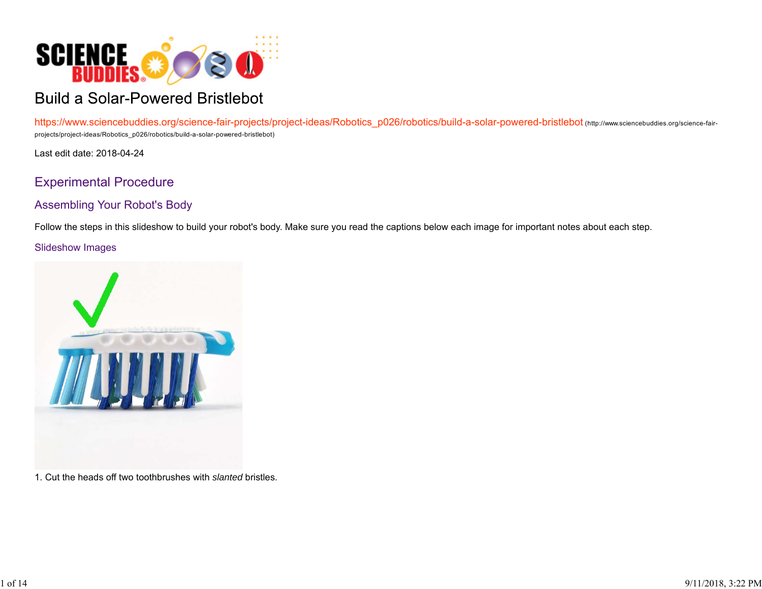

# **Build a Solar-Powered Bristlebot**

https://www.sciencebuddies.org/science-fair-projects/project-ideas/Robotics\_p026/robotics/build-a-solar-powered-bristlebot (http://www.sciencebuddies.org/science-fairprojects/project-ideas/Robotics\_p026/robotics/build-a-solar-powered-bristlebot)

Last edit date: 2018-04-24

## Experimental Procedure

## Assembling Your Robot's Body

Follow the steps in this slideshow to build your robot's body. Make sure you read the captions below each image for important notes about each step.

#### Slideshow Images



1. Cut the heads off two toothbrushes with *slanted* bristles.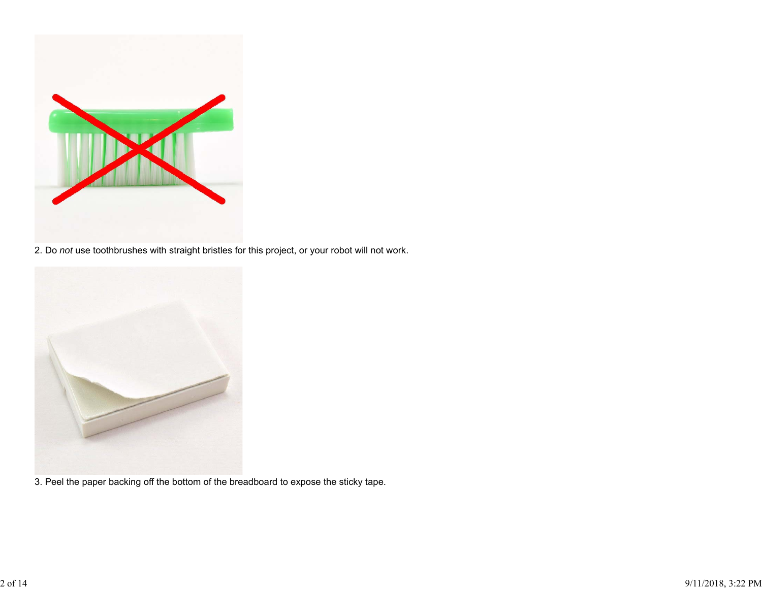

2. Do *not* use toothbrushes with straight bristles for this project, or your robot will not work.



3. Peel the paper backing off the bottom of the breadboard to expose the sticky tape.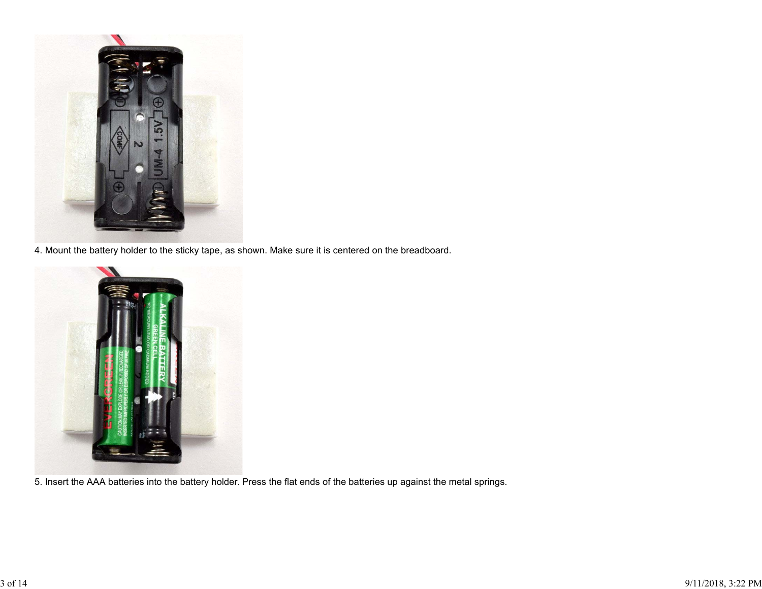

4. Mount the battery holder to the sticky tape, as shown. Make sure it is centered on the breadboard.



5. Insert the AAA batteries into the battery holder. Press the flat ends of the batteries up against the metal springs.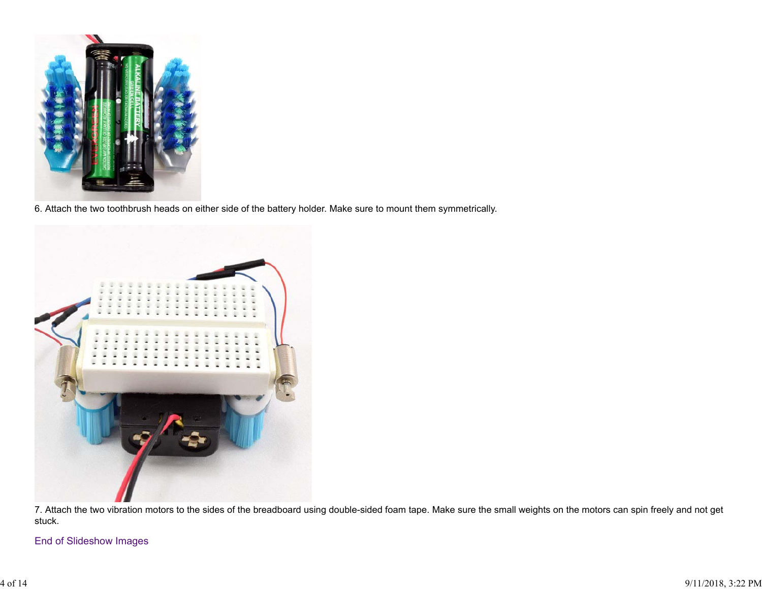

6. Attach the two toothbrush heads on either side of the battery holder. Make sure to mount them symmetrically.



7. Attach the two vibration motors to the sides of the breadboard using double-sided foam tape. Make sure the small weights on the motors can spin freely and not get stuck.

End of Slideshow Images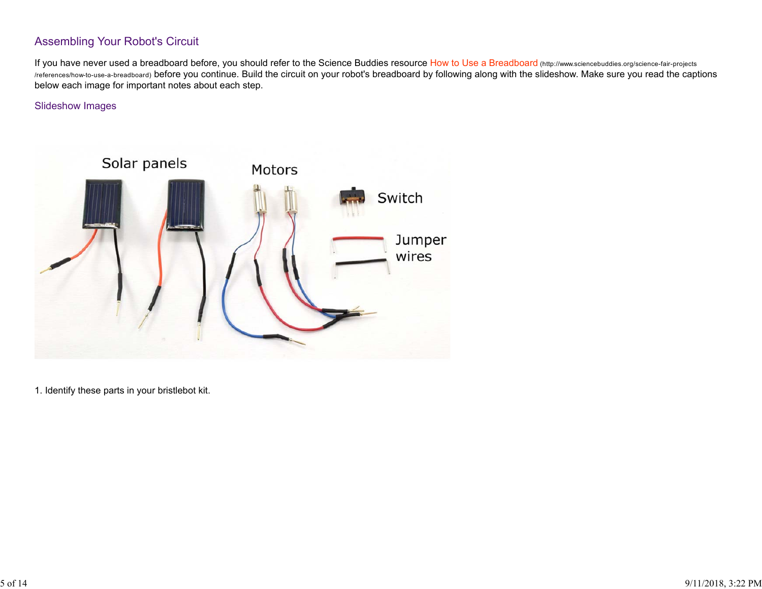## Assembling Your Robot's Circuit

If you have never used a breadboard before, you should refer to the Science Buddies resource How to Use a Breadboard (http://www.sciencebuddies.org/science-fair-projects /references/how-to-use-a-breadboard) before you continue. Build the circuit on your robot's breadboard by following along with the slideshow. Make sure you read the captions below each image for important notes about each step.

#### Slideshow Images



1. Identify these parts in your bristlebot kit.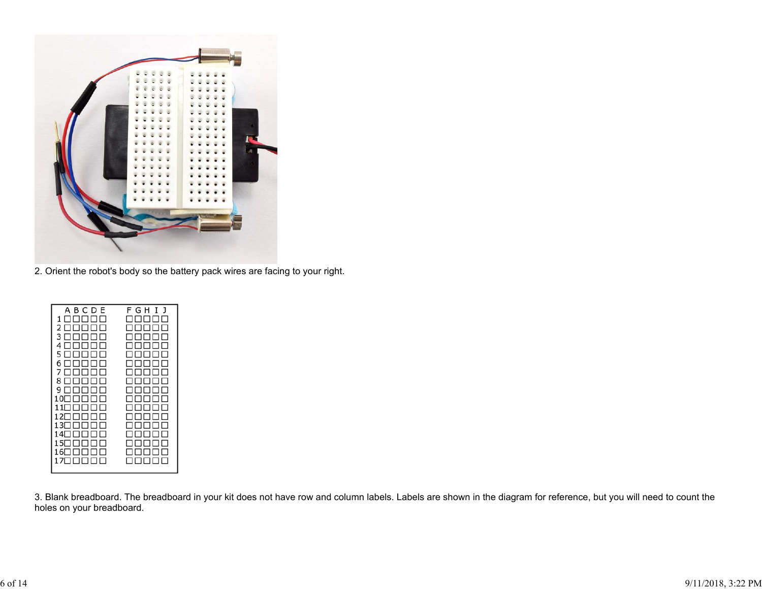

2. Orient the robot's body so the battery pack wires are facing to your right.

3. Blank breadboard. The breadboard in your kit does not have row and column labels. Labels are shown in the diagram for reference, but you will need to count the holes on your breadboard.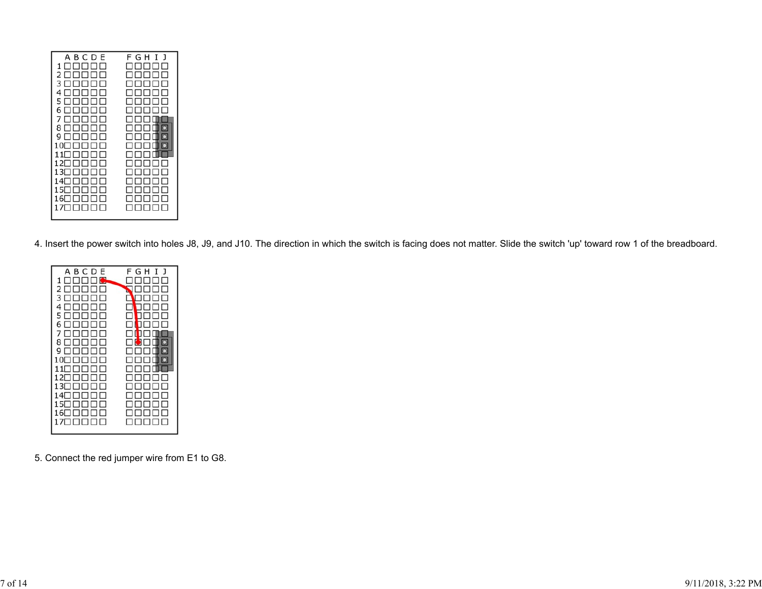4. Insert the power switch into holes J8, J9, and J10. The direction in which the switch is facing does not matter. Slide the switch 'up' toward row 1 of the breadboard.

| ABCDE<br>$\square$ $\bullet$<br>1<br>п<br>П<br>2<br>п<br>п<br>3<br>П<br>ы<br>ш<br>4<br>ПП<br>ПП<br>П<br>5 NNNNN<br>6 NNNNN<br>7 E L<br>1            <br>8 0 0 0 0 0 0 0 0 0 0<br>9<br>ПП<br>П<br>.<br>$10\Box$<br>П<br>. .<br>$11\Box$<br>12∏<br>13∏<br>14 1<br>15 $\Box$<br>П<br>16⊟ ⊟<br>ПП<br>$\perp$<br>1700000 | FGHIJ<br>ы<br>п<br>- 11 -<br>I<br>$\blacksquare$<br>$\Box$ $\Box$ $\Box$<br>⊓⊓<br>$\Box$<br>×<br>ппп<br>ш<br>I 1<br>noono |
|---------------------------------------------------------------------------------------------------------------------------------------------------------------------------------------------------------------------------------------------------------------------------------------------------------------------|---------------------------------------------------------------------------------------------------------------------------|
|                                                                                                                                                                                                                                                                                                                     |                                                                                                                           |
|                                                                                                                                                                                                                                                                                                                     |                                                                                                                           |

5. Connect the red jumper wire from E1 to G8.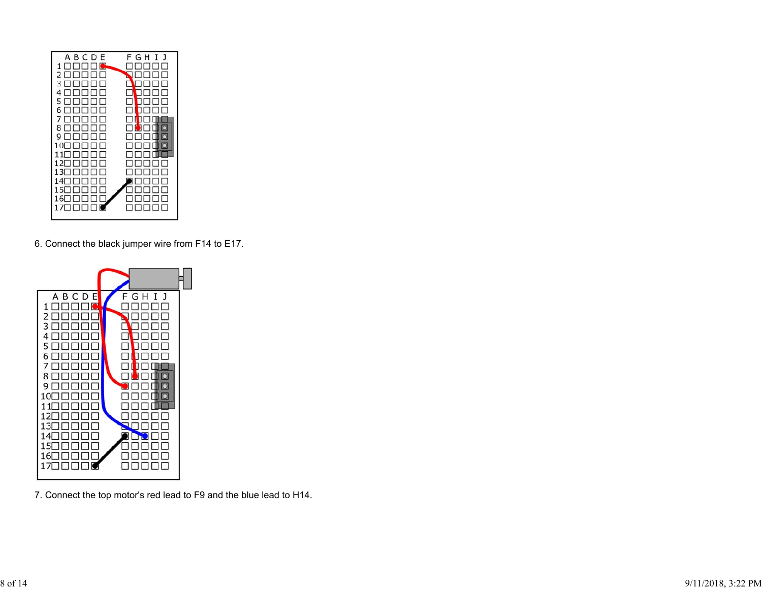

6. Connect the black jumper wire from F14 to E17.



7. Connect the top motor's red lead to F9 and the blue lead to H14.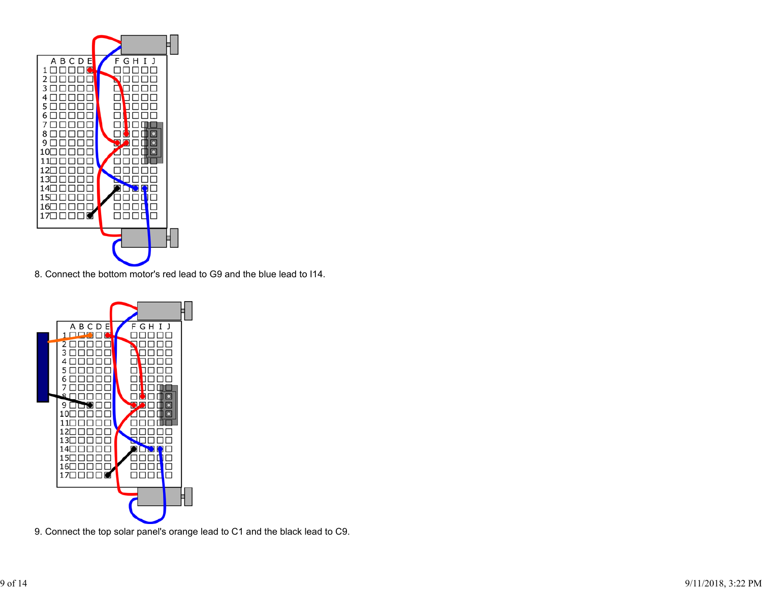

8. Connect the bottom motor's red lead to G9 and the blue lead to I14.



9. Connect the top solar panel's orange lead to C1 and the black lead to C9.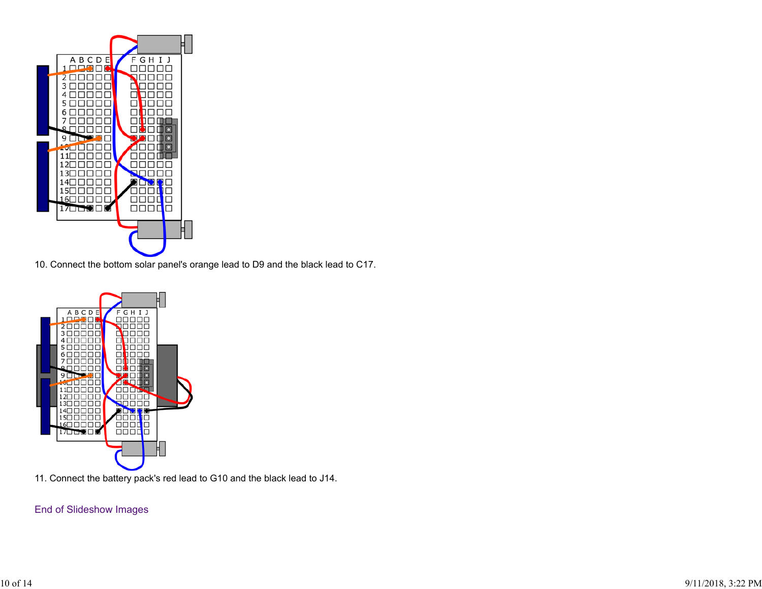

10. Connect the bottom solar panel's orange lead to D9 and the black lead to C17.



11. Connect the battery pack's red lead to G10 and the black lead to J14.

#### End of Slideshow Images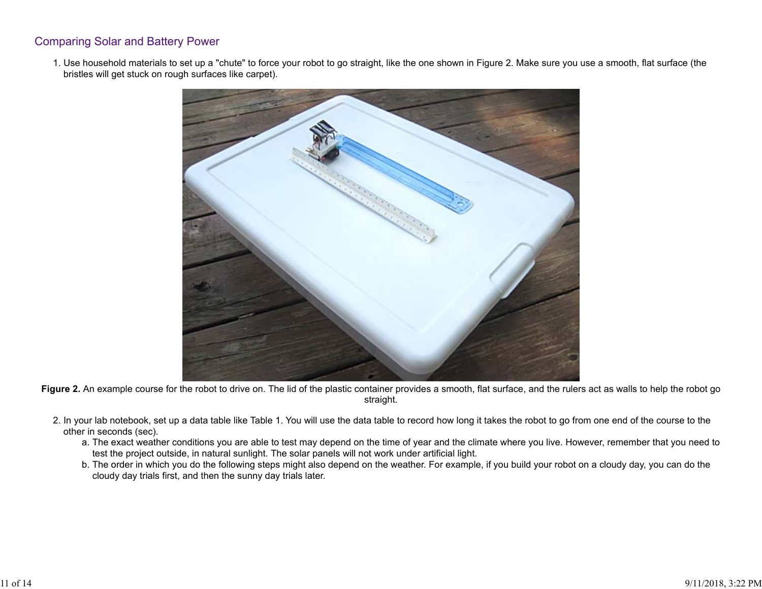### Comparing Solar and Battery Power

1. Use household materials to set up a "chute" to force your robot to go straight, like the one shown in Figure 2. Make sure you use a smooth, flat surface (the bristles will get stuck on rough surfaces like carpet).



**Figure 2.** An example course for the robot to drive on. The lid of the plastic container provides a smooth, flat surface, and the rulers act as walls to help the robot go straight.

- 2. In your lab notebook, set up a data table like Table 1. You will use the data table to record how long it takes the robot to go from one end of the course to the other in seconds (sec).
	- a. The exact weather conditions you are able to test may depend on the time of year and the climate where you live. However, remember that you need to test the project outside, in natural sunlight. The solar panels will not work under artificial light.
	- b. The order in which you do the following steps might also depend on the weather. For example, if you build your robot on a cloudy day, you can do the cloudy day trials first, and then the sunny day trials later.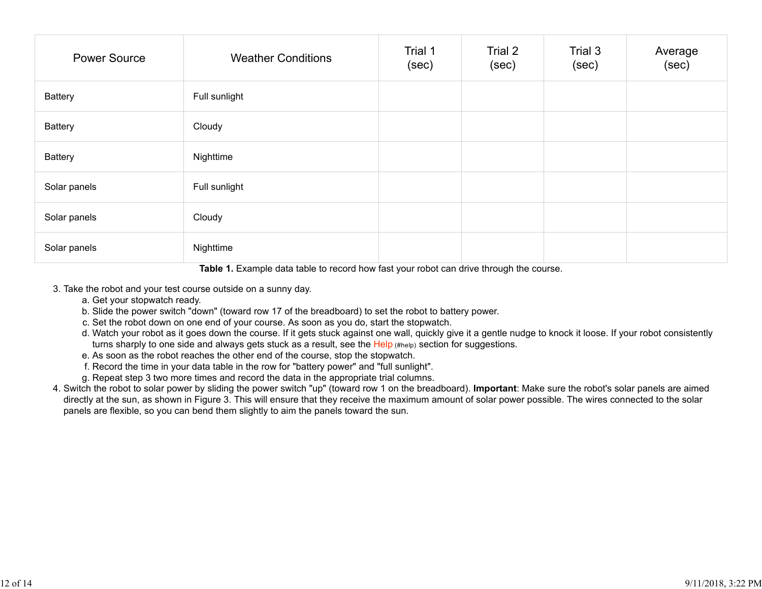| <b>Power Source</b> | <b>Weather Conditions</b> | Trial 1<br>(sec) | Trial 2<br>(sec) | Trial 3<br>(sec) | Average<br>(sec) |
|---------------------|---------------------------|------------------|------------------|------------------|------------------|
| <b>Battery</b>      | Full sunlight             |                  |                  |                  |                  |
| Battery             | Cloudy                    |                  |                  |                  |                  |
| <b>Battery</b>      | Nighttime                 |                  |                  |                  |                  |
| Solar panels        | Full sunlight             |                  |                  |                  |                  |
| Solar panels        | Cloudy                    |                  |                  |                  |                  |
| Solar panels        | Nighttime                 |                  |                  |                  |                  |

**Table 1.** Example data table to record how fast your robot can drive through the course.

- 3. Take the robot and your test course outside on a sunny day.
	- a. Get your stopwatch ready.
	- b. Slide the power switch "down" (toward row 17 of the breadboard) to set the robot to battery power.
	- c. Set the robot down on one end of your course. As soon as you do, start the stopwatch.
	- d. Watch your robot as it goes down the course. If it gets stuck against one wall, quickly give it a gentle nudge to knock it loose. If your robot consistently turns sharply to one side and always gets stuck as a result, see the Help (#help) section for suggestions.
	- e. As soon as the robot reaches the other end of the course, stop the stopwatch.
	- f. Record the time in your data table in the row for "battery power" and "full sunlight".
	- g. Repeat step 3 two more times and record the data in the appropriate trial columns.
- 4. Switch the robot to solar power by sliding the power switch "up" (toward row 1 on the breadboard). **Important**: Make sure the robot's solar panels are aimed directly at the sun, as shown in Figure 3. This will ensure that they receive the maximum amount of solar power possible. The wires connected to the solar panels are flexible, so you can bend them slightly to aim the panels toward the sun.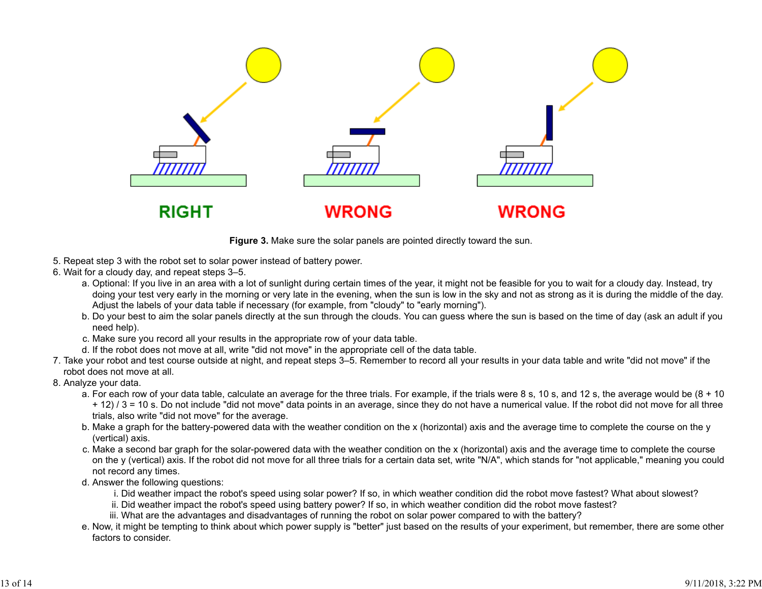

**Figure 3.** Make sure the solar panels are pointed directly toward the sun.

- 5. Repeat step 3 with the robot set to solar power instead of battery power.
- Wait for a cloudy day, and repeat steps 3–5. 6.
	- a. Optional: If you live in an area with a lot of sunlight during certain times of the year, it might not be feasible for you to wait for a cloudy day. Instead, try doing your test very early in the morning or very late in the evening, when the sun is low in the sky and not as strong as it is during the middle of the day. Adjust the labels of your data table if necessary (for example, from "cloudy" to "early morning").
	- b. Do your best to aim the solar panels directly at the sun through the clouds. You can guess where the sun is based on the time of day (ask an adult if you need help).
	- c. Make sure you record all your results in the appropriate row of your data table.
	- d. If the robot does not move at all, write "did not move" in the appropriate cell of the data table.
- 7. Take your robot and test course outside at night, and repeat steps 3–5. Remember to record all your results in your data table and write "did not move" if the robot does not move at all.
- 8. Analyze your data.
	- a. For each row of your data table, calculate an average for the three trials. For example, if the trials were 8 s, 10 s, and 12 s, the average would be (8 + 10 + 12) / 3 = 10 s. Do not include "did not move" data points in an average, since they do not have a numerical value. If the robot did not move for all three trials, also write "did not move" for the average.
	- b. Make a graph for the battery-powered data with the weather condition on the x (horizontal) axis and the average time to complete the course on the y (vertical) axis.
	- c. Make a second bar graph for the solar-powered data with the weather condition on the x (horizontal) axis and the average time to complete the course on the y (vertical) axis. If the robot did not move for all three trials for a certain data set, write "N/A", which stands for "not applicable," meaning you could not record any times.
	- Answer the following questions: d.
		- i. Did weather impact the robot's speed using solar power? If so, in which weather condition did the robot move fastest? What about slowest?
		- ii. Did weather impact the robot's speed using battery power? If so, in which weather condition did the robot move fastest?
		- iii. What are the advantages and disadvantages of running the robot on solar power compared to with the battery?
	- e. Now, it might be tempting to think about which power supply is "better" just based on the results of your experiment, but remember, there are some other factors to consider.